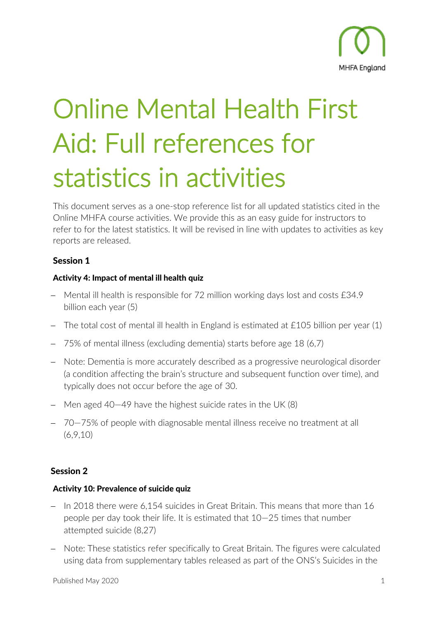

# Online Mental Health First Aid: Full references for statistics in activities

This document serves as a one-stop reference list for all updated statistics cited in the Online MHFA course activities. We provide this as an easy guide for instructors to refer to for the latest statistics. It will be revised in line with updates to activities as key reports are released.

# Session 1

## Activity 4: Impact of mental ill health quiz

- − Mental ill health is responsible for 72 million working days lost and costs £34.9 billion each year (5)
- − The total cost of mental ill health in England is estimated at £105 billion per year (1)
- − 75% of mental illness (excluding dementia) starts before age 18 (6,7)
- − Note: Dementia is more accurately described as a progressive neurological disorder (a condition affecting the brain's structure and subsequent function over time), and typically does not occur before the age of 30.
- − Men aged 40—49 have the highest suicide rates in the UK (8)
- − 70—75% of people with diagnosable mental illness receive no treatment at all (6,9,10)

# Session 2

## Activity 10: Prevalence of suicide quiz

- − In 2018 there were 6,154 suicides in Great Britain. This means that more than 16 people per day took their life. It is estimated that 10—25 times that number attempted suicide (8,27)
- − Note: These statistics refer specifically to Great Britain. The figures were calculated using data from supplementary tables released as part of the ONS's Suicides in the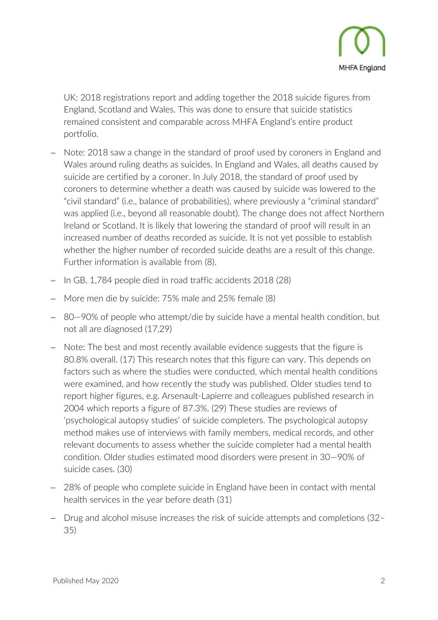

UK: 2018 registrations report and adding together the 2018 suicide figures from England, Scotland and Wales. This was done to ensure that suicide statistics remained consistent and comparable across MHFA England's entire product portfolio.

- − Note: 2018 saw a change in the standard of proof used by coroners in England and Wales around ruling deaths as suicides. In England and Wales, all deaths caused by suicide are certified by a coroner. In July 2018, the standard of proof used by coroners to determine whether a death was caused by suicide was lowered to the "civil standard" (i.e., balance of probabilities), where previously a "criminal standard" was applied (i.e., beyond all reasonable doubt). The change does not affect Northern Ireland or Scotland. It is likely that lowering the standard of proof will result in an increased number of deaths recorded as suicide. It is not yet possible to establish whether the higher number of recorded suicide deaths are a result of this change. Further information is available from (8).
- In GB, 1,784 people died in road traffic accidents 2018 (28)
- − More men die by suicide: 75% male and 25% female (8)
- − 80—90% of people who attempt/die by suicide have a mental health condition, but not all are diagnosed (17,29)
- − Note: The best and most recently available evidence suggests that the figure is 80.8% overall. (17) This research notes that this figure can vary. This depends on factors such as where the studies were conducted, which mental health conditions were examined, and how recently the study was published. Older studies tend to report higher figures, e.g. Arsenault-Lapierre and colleagues published research in 2004 which reports a figure of 87.3%. (29) These studies are reviews of 'psychological autopsy studies' of suicide completers. The psychological autopsy method makes use of interviews with family members, medical records, and other relevant documents to assess whether the suicide completer had a mental health condition. Older studies estimated mood disorders were present in 30—90% of suicide cases. (30)
- − 28% of people who complete suicide in England have been in contact with mental health services in the year before death (31)
- − Drug and alcohol misuse increases the risk of suicide attempts and completions (32– 35)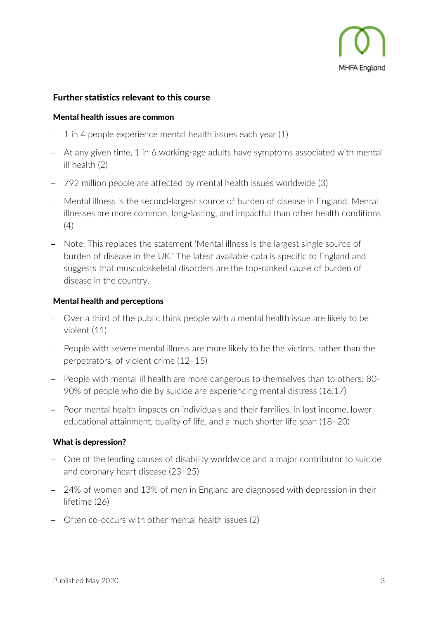

## Further statistics relevant to this course

#### Mental health issues are common

- 1 in 4 people experience mental health issues each year (1)
- At any given time, 1 in 6 working-age adults have symptoms associated with mental ill health (2)
- − 792 million people are affected by mental health issues worldwide (3)
- − Mental illness is the second-largest source of burden of disease in England. Mental illnesses are more common, long-lasting, and impactful than other health conditions  $(4)$
- − Note: This replaces the statement 'Mental illness is the largest single source of burden of disease in the UK.' The latest available data is specific to England and suggests that musculoskeletal disorders are the top-ranked cause of burden of disease in the country.

## Mental health and perceptions

- − Over a third of the public think people with a mental health issue are likely to be violent (11)
- − People with severe mental illness are more likely to be the victims, rather than the perpetrators, of violent crime (12–15)
- − People with mental ill health are more dangerous to themselves than to others: 80- 90% of people who die by suicide are experiencing mental distress (16,17)
- − Poor mental health impacts on individuals and their families, in lost income, lower educational attainment, quality of life, and a much shorter life span (18–20)

## What is depression?

- − One of the leading causes of disability worldwide and a major contributor to suicide and coronary heart disease (23–25)
- − 24% of women and 13% of men in England are diagnosed with depression in their lifetime (26)
- − Often co-occurs with other mental health issues (2)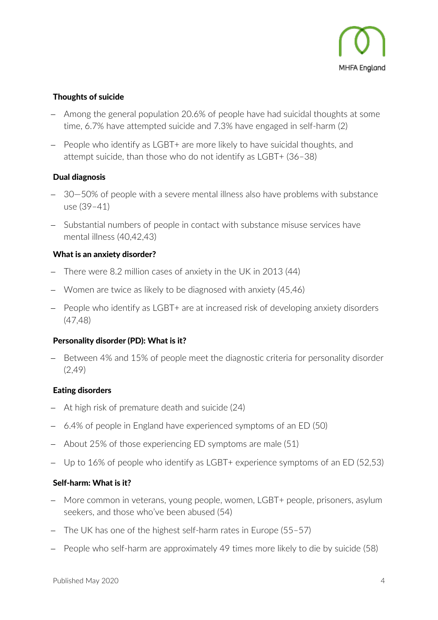

## Thoughts of suicide

- − Among the general population 20.6% of people have had suicidal thoughts at some time, 6.7% have attempted suicide and 7.3% have engaged in self-harm (2)
- − People who identify as LGBT+ are more likely to have suicidal thoughts, and attempt suicide, than those who do not identify as LGBT+ (36–38)

## Dual diagnosis

- 30–50% of people with a severe mental illness also have problems with substance use (39–41)
- − Substantial numbers of people in contact with substance misuse services have mental illness (40,42,43)

## What is an anxiety disorder?

- There were 8.2 million cases of anxiety in the UK in 2013 (44)
- − Women are twice as likely to be diagnosed with anxiety (45,46)
- − People who identify as LGBT+ are at increased risk of developing anxiety disorders (47,48)

## Personality disorder (PD): What is it?

− Between 4% and 15% of people meet the diagnostic criteria for personality disorder (2,49)

## Eating disorders

- At high risk of premature death and suicide (24)
- − 6.4% of people in England have experienced symptoms of an ED (50)
- − About 25% of those experiencing ED symptoms are male (51)
- − Up to 16% of people who identify as LGBT+ experience symptoms of an ED (52,53)

## Self-harm: What is it?

- − More common in veterans, young people, women, LGBT+ people, prisoners, asylum seekers, and those who've been abused (54)
- − The UK has one of the highest self-harm rates in Europe (55–57)
- People who self-harm are approximately 49 times more likely to die by suicide (58)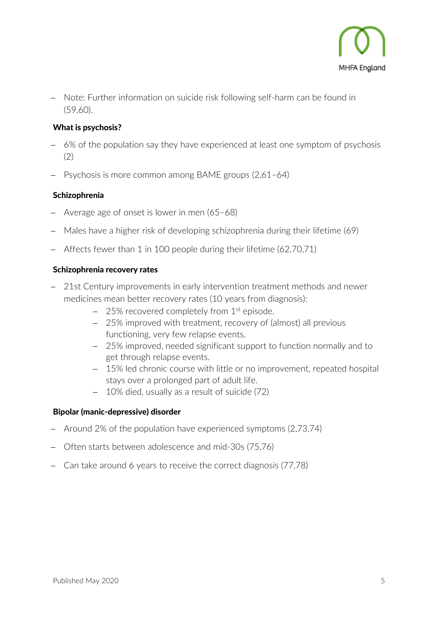

− Note: Further information on suicide risk following self-harm can be found in (59,60).

## What is psychosis?

- − 6% of the population say they have experienced at least one symptom of psychosis (2)
- − Psychosis is more common among BAME groups (2,61–64)

## Schizophrenia

- − Average age of onset is lower in men (65–68)
- − Males have a higher risk of developing schizophrenia during their lifetime (69)
- − Affects fewer than 1 in 100 people during their lifetime (62,70,71)

#### Schizophrenia recovery rates

- − 21st Century improvements in early intervention treatment methods and newer medicines mean better recovery rates (10 years from diagnosis):
	- − 25% recovered completely from 1<sup>st</sup> episode.
	- − 25% improved with treatment, recovery of (almost) all previous functioning, very few relapse events.
	- − 25% improved, needed significant support to function normally and to get through relapse events.
	- − 15% led chronic course with little or no improvement, repeated hospital stays over a prolonged part of adult life.
	- − 10% died, usually as a result of suicide (72)

## Bipolar (manic-depressive) disorder

- − Around 2% of the population have experienced symptoms (2,73,74)
- − Often starts between adolescence and mid-30s (75,76)
- − Can take around 6 years to receive the correct diagnosis (77,78)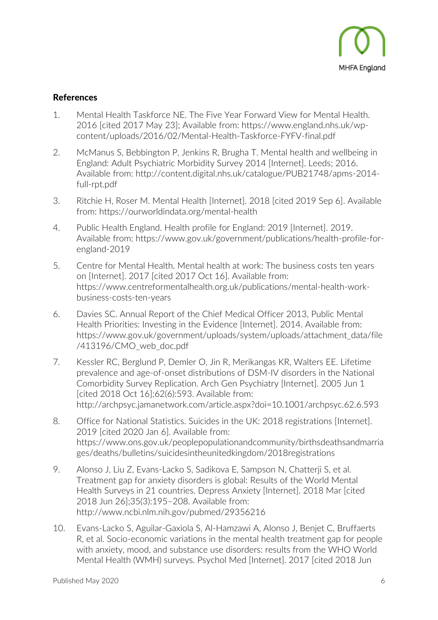

# References

- 1. Mental Health Taskforce NE. The Five Year Forward View for Mental Health. 2016 [cited 2017 May 23]; Available from: https://www.england.nhs.uk/wpcontent/uploads/2016/02/Mental-Health-Taskforce-FYFV-final.pdf
- 2. McManus S, Bebbington P, Jenkins R, Brugha T. Mental health and wellbeing in England: Adult Psychiatric Morbidity Survey 2014 [Internet]. Leeds; 2016. Available from: http://content.digital.nhs.uk/catalogue/PUB21748/apms-2014 full-rpt.pdf
- 3. Ritchie H, Roser M. Mental Health [Internet]. 2018 [cited 2019 Sep 6]. Available from: https://ourworldindata.org/mental-health
- 4. Public Health England. Health profile for England: 2019 [Internet]. 2019. Available from: https://www.gov.uk/government/publications/health-profile-forengland-2019
- 5. Centre for Mental Health. Mental health at work: The business costs ten years on [Internet]. 2017 [cited 2017 Oct 16]. Available from: https://www.centreformentalhealth.org.uk/publications/mental-health-workbusiness-costs-ten-years
- 6. Davies SC. Annual Report of the Chief Medical Officer 2013, Public Mental Health Priorities: Investing in the Evidence [Internet]. 2014. Available from: https://www.gov.uk/government/uploads/system/uploads/attachment\_data/file /413196/CMO\_web\_doc.pdf
- 7. Kessler RC, Berglund P, Demler O, Jin R, Merikangas KR, Walters EE. Lifetime prevalence and age-of-onset distributions of DSM-IV disorders in the National Comorbidity Survey Replication. Arch Gen Psychiatry [Internet]. 2005 Jun 1 [cited 2018 Oct 16];62(6):593. Available from: http://archpsyc.jamanetwork.com/article.aspx?doi=10.1001/archpsyc.62.6.593
- 8. Office for National Statistics. Suicides in the UK: 2018 registrations [Internet]. 2019 [cited 2020 Jan 6]. Available from: https://www.ons.gov.uk/peoplepopulationandcommunity/birthsdeathsandmarria ges/deaths/bulletins/suicidesintheunitedkingdom/2018registrations
- 9. Alonso J, Liu Z, Evans-Lacko S, Sadikova E, Sampson N, Chatterji S, et al. Treatment gap for anxiety disorders is global: Results of the World Mental Health Surveys in 21 countries. Depress Anxiety [Internet]. 2018 Mar [cited 2018 Jun 26];35(3):195–208. Available from: http://www.ncbi.nlm.nih.gov/pubmed/29356216
- 10. Evans-Lacko S, Aguilar-Gaxiola S, Al-Hamzawi A, Alonso J, Benjet C, Bruffaerts R, et al. Socio-economic variations in the mental health treatment gap for people with anxiety, mood, and substance use disorders: results from the WHO World Mental Health (WMH) surveys. Psychol Med [Internet]. 2017 [cited 2018 Jun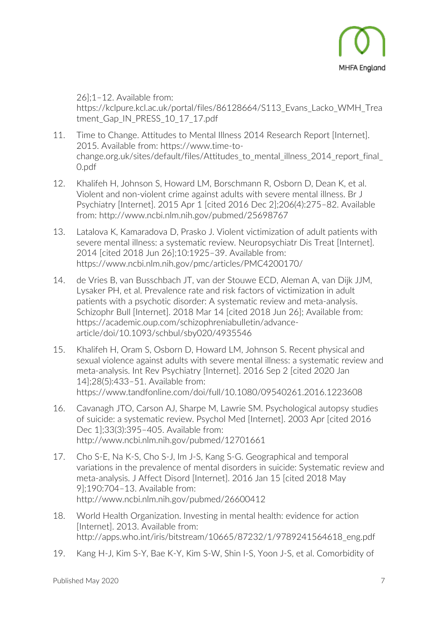

26];1–12. Available from: https://kclpure.kcl.ac.uk/portal/files/86128664/S113\_Evans\_Lacko\_WMH\_Trea tment Gap IN PRESS 10\_17\_17.pdf

- 11. Time to Change. Attitudes to Mental Illness 2014 Research Report [Internet]. 2015. Available from: https://www.time-tochange.org.uk/sites/default/files/Attitudes to mental illness 2014 report final 0.pdf
- 12. Khalifeh H, Johnson S, Howard LM, Borschmann R, Osborn D, Dean K, et al. Violent and non-violent crime against adults with severe mental illness. Br J Psychiatry [Internet]. 2015 Apr 1 [cited 2016 Dec 2];206(4):275–82. Available from: http://www.ncbi.nlm.nih.gov/pubmed/25698767
- 13. Latalova K, Kamaradova D, Prasko J. Violent victimization of adult patients with severe mental illness: a systematic review. Neuropsychiatr Dis Treat [Internet]. 2014 [cited 2018 Jun 26];10:1925–39. Available from: https://www.ncbi.nlm.nih.gov/pmc/articles/PMC4200170/
- 14. de Vries B, van Busschbach JT, van der Stouwe ECD, Aleman A, van Dijk JJM, Lysaker PH, et al. Prevalence rate and risk factors of victimization in adult patients with a psychotic disorder: A systematic review and meta-analysis. Schizophr Bull [Internet]. 2018 Mar 14 [cited 2018 Jun 26]; Available from: https://academic.oup.com/schizophreniabulletin/advancearticle/doi/10.1093/schbul/sby020/4935546
- 15. Khalifeh H, Oram S, Osborn D, Howard LM, Johnson S. Recent physical and sexual violence against adults with severe mental illness: a systematic review and meta-analysis. Int Rev Psychiatry [Internet]. 2016 Sep 2 [cited 2020 Jan 14];28(5):433–51. Available from: https://www.tandfonline.com/doi/full/10.1080/09540261.2016.1223608
- 16. Cavanagh JTO, Carson AJ, Sharpe M, Lawrie SM. Psychological autopsy studies of suicide: a systematic review. Psychol Med [Internet]. 2003 Apr [cited 2016 Dec 1];33(3):395–405. Available from: http://www.ncbi.nlm.nih.gov/pubmed/12701661
- 17. Cho S-E, Na K-S, Cho S-J, Im J-S, Kang S-G. Geographical and temporal variations in the prevalence of mental disorders in suicide: Systematic review and meta-analysis. J Affect Disord [Internet]. 2016 Jan 15 [cited 2018 May 9];190:704–13. Available from: http://www.ncbi.nlm.nih.gov/pubmed/26600412
- 18. World Health Organization. Investing in mental health: evidence for action [Internet]. 2013. Available from: http://apps.who.int/iris/bitstream/10665/87232/1/9789241564618\_eng.pdf
- 19. Kang H-J, Kim S-Y, Bae K-Y, Kim S-W, Shin I-S, Yoon J-S, et al. Comorbidity of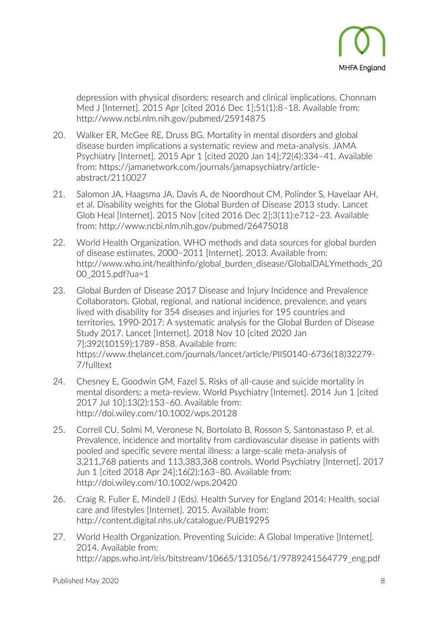

depression with physical disorders: research and clinical implications. Chonnam Med J [Internet]. 2015 Apr [cited 2016 Dec 1];51(1):8–18. Available from: http://www.ncbi.nlm.nih.gov/pubmed/25914875

- 20. Walker ER, McGee RE, Druss BG. Mortality in mental disorders and global disease burden implications a systematic review and meta-analysis. JAMA Psychiatry [Internet]. 2015 Apr 1 [cited 2020 Jan 14];72(4):334–41. Available from: https://jamanetwork.com/journals/jamapsychiatry/articleabstract/2110027
- 21. Salomon JA, Haagsma JA, Davis A, de Noordhout CM, Polinder S, Havelaar AH, et al. Disability weights for the Global Burden of Disease 2013 study. Lancet Glob Heal [Internet]. 2015 Nov [cited 2016 Dec 2];3(11):e712–23. Available from: http://www.ncbi.nlm.nih.gov/pubmed/26475018
- 22. World Health Organization. WHO methods and data sources for global burden of disease estimates, 2000–2011 [Internet]. 2013. Available from: http://www.who.int/healthinfo/global\_burden\_disease/GlobalDALYmethods\_20 00 2015.pdf?ua=1
- 23. Global Burden of Disease 2017 Disease and Injury Incidence and Prevalence Collaborators. Global, regional, and national incidence, prevalence, and years lived with disability for 354 diseases and injuries for 195 countries and territories, 1990-2017: A systematic analysis for the Global Burden of Disease Study 2017. Lancet [Internet]. 2018 Nov 10 [cited 2020 Jan 7];392(10159):1789–858. Available from: https://www.thelancet.com/journals/lancet/article/PIIS0140-6736(18)32279- 7/fulltext
- 24. Chesney E, Goodwin GM, Fazel S. Risks of all-cause and suicide mortality in mental disorders: a meta-review. World Psychiatry [Internet]. 2014 Jun 1 [cited 2017 Jul 10];13(2):153–60. Available from: http://doi.wiley.com/10.1002/wps.20128
- 25. Correll CU, Solmi M, Veronese N, Bortolato B, Rosson S, Santonastaso P, et al. Prevalence, incidence and mortality from cardiovascular disease in patients with pooled and specific severe mental illness: a large-scale meta-analysis of 3,211,768 patients and 113,383,368 controls. World Psychiatry [Internet]. 2017 Jun 1 [cited 2018 Apr 24];16(2):163–80. Available from: http://doi.wiley.com/10.1002/wps.20420
- 26. Craig R, Fuller E, Mindell J (Eds). Health Survey for England 2014: Health, social care and lifestyles [Internet]. 2015. Available from: http://content.digital.nhs.uk/catalogue/PUB19295
- 27. World Health Organization. Preventing Suicide: A Global Imperative [Internet]. 2014. Available from: http://apps.who.int/iris/bitstream/10665/131056/1/9789241564779\_eng.pdf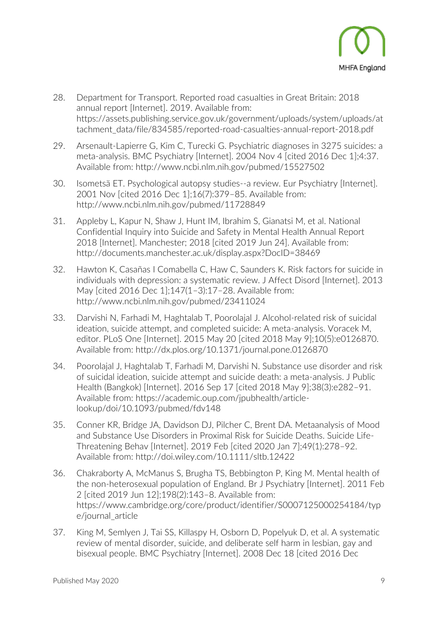

- 28. Department for Transport. Reported road casualties in Great Britain: 2018 annual report [Internet]. 2019. Available from: https://assets.publishing.service.gov.uk/government/uploads/system/uploads/at tachment\_data/file/834585/reported-road-casualties-annual-report-2018.pdf
- 29. Arsenault-Lapierre G, Kim C, Turecki G. Psychiatric diagnoses in 3275 suicides: a meta-analysis. BMC Psychiatry [Internet]. 2004 Nov 4 [cited 2016 Dec 1];4:37. Available from: http://www.ncbi.nlm.nih.gov/pubmed/15527502
- 30. Isometsä ET. Psychological autopsy studies--a review. Eur Psychiatry [Internet]. 2001 Nov [cited 2016 Dec 1];16(7):379–85. Available from: http://www.ncbi.nlm.nih.gov/pubmed/11728849
- 31. Appleby L, Kapur N, Shaw J, Hunt IM, Ibrahim S, Gianatsi M, et al. National Confidential Inquiry into Suicide and Safety in Mental Health Annual Report 2018 [Internet]. Manchester; 2018 [cited 2019 Jun 24]. Available from: http://documents.manchester.ac.uk/display.aspx?DocID=38469
- 32. Hawton K, Casañas I Comabella C, Haw C, Saunders K. Risk factors for suicide in individuals with depression: a systematic review. J Affect Disord [Internet]. 2013 May [cited 2016 Dec 1];147(1–3):17–28. Available from: http://www.ncbi.nlm.nih.gov/pubmed/23411024
- 33. Darvishi N, Farhadi M, Haghtalab T, Poorolajal J. Alcohol-related risk of suicidal ideation, suicide attempt, and completed suicide: A meta-analysis. Voracek M, editor. PLoS One [Internet]. 2015 May 20 [cited 2018 May 9];10(5):e0126870. Available from: http://dx.plos.org/10.1371/journal.pone.0126870
- 34. Poorolajal J, Haghtalab T, Farhadi M, Darvishi N. Substance use disorder and risk of suicidal ideation, suicide attempt and suicide death: a meta-analysis. J Public Health (Bangkok) [Internet]. 2016 Sep 17 [cited 2018 May 9];38(3):e282–91. Available from: https://academic.oup.com/jpubhealth/articlelookup/doi/10.1093/pubmed/fdv148
- 35. Conner KR, Bridge JA, Davidson DJ, Pilcher C, Brent DA. Metaanalysis of Mood and Substance Use Disorders in Proximal Risk for Suicide Deaths. Suicide Life-Threatening Behav [Internet]. 2019 Feb [cited 2020 Jan 7];49(1):278–92. Available from: http://doi.wiley.com/10.1111/sltb.12422
- 36. Chakraborty A, McManus S, Brugha TS, Bebbington P, King M. Mental health of the non-heterosexual population of England. Br J Psychiatry [Internet]. 2011 Feb 2 [cited 2019 Jun 12];198(2):143–8. Available from: https://www.cambridge.org/core/product/identifier/S0007125000254184/typ e/journal\_article
- 37. King M, Semlyen J, Tai SS, Killaspy H, Osborn D, Popelyuk D, et al. A systematic review of mental disorder, suicide, and deliberate self harm in lesbian, gay and bisexual people. BMC Psychiatry [Internet]. 2008 Dec 18 [cited 2016 Dec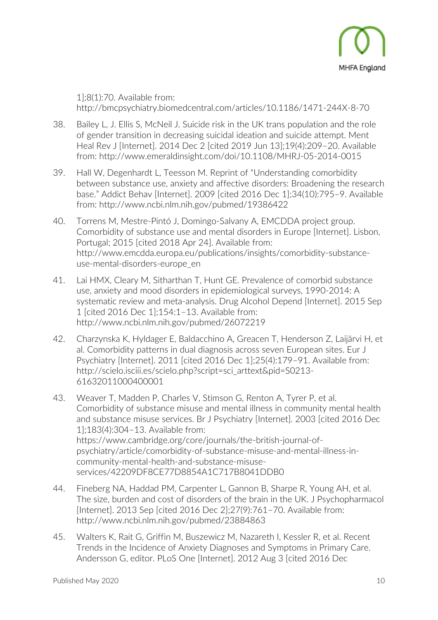

1];8(1):70. Available from: http://bmcpsychiatry.biomedcentral.com/articles/10.1186/1471-244X-8-70

- 38. Bailey L, J. Ellis S, McNeil J. Suicide risk in the UK trans population and the role of gender transition in decreasing suicidal ideation and suicide attempt. Ment Heal Rev J [Internet]. 2014 Dec 2 [cited 2019 Jun 13];19(4):209–20. Available from: http://www.emeraldinsight.com/doi/10.1108/MHRJ-05-2014-0015
- 39. Hall W, Degenhardt L, Teesson M. Reprint of "Understanding comorbidity between substance use, anxiety and affective disorders: Broadening the research base." Addict Behav [Internet]. 2009 [cited 2016 Dec 1];34(10):795–9. Available from: http://www.ncbi.nlm.nih.gov/pubmed/19386422
- 40. Torrens M, Mestre-Pintó J, Domingo-Salvany A, EMCDDA project group. Comorbidity of substance use and mental disorders in Europe [Internet]. Lisbon, Portugal; 2015 [cited 2018 Apr 24]. Available from: http://www.emcdda.europa.eu/publications/insights/comorbidity-substanceuse-mental-disorders-europe\_en
- 41. Lai HMX, Cleary M, Sitharthan T, Hunt GE. Prevalence of comorbid substance use, anxiety and mood disorders in epidemiological surveys, 1990-2014: A systematic review and meta-analysis. Drug Alcohol Depend [Internet]. 2015 Sep 1 [cited 2016 Dec 1];154:1–13. Available from: http://www.ncbi.nlm.nih.gov/pubmed/26072219
- 42. Charzynska K, Hyldager E, Baldacchino A, Greacen T, Henderson Z, Laijärvi H, et al. Comorbidity patterns in dual diagnosis across seven European sites. Eur J Psychiatry [Internet]. 2011 [cited 2016 Dec 1];25(4):179–91. Available from: http://scielo.isciii.es/scielo.php?script=sci\_arttext&pid=S0213- 61632011000400001
- 43. Weaver T, Madden P, Charles V, Stimson G, Renton A, Tyrer P, et al. Comorbidity of substance misuse and mental illness in community mental health and substance misuse services. Br J Psychiatry [Internet]. 2003 [cited 2016 Dec 1];183(4):304–13. Available from: https://www.cambridge.org/core/journals/the-british-journal-ofpsychiatry/article/comorbidity-of-substance-misuse-and-mental-illness-incommunity-mental-health-and-substance-misuseservices/42209DF8CE77D8854A1C717B8041DDB0
- 44. Fineberg NA, Haddad PM, Carpenter L, Gannon B, Sharpe R, Young AH, et al. The size, burden and cost of disorders of the brain in the UK. J Psychopharmacol [Internet]. 2013 Sep [cited 2016 Dec 2];27(9):761–70. Available from: http://www.ncbi.nlm.nih.gov/pubmed/23884863
- 45. Walters K, Rait G, Griffin M, Buszewicz M, Nazareth I, Kessler R, et al. Recent Trends in the Incidence of Anxiety Diagnoses and Symptoms in Primary Care. Andersson G, editor. PLoS One [Internet]. 2012 Aug 3 [cited 2016 Dec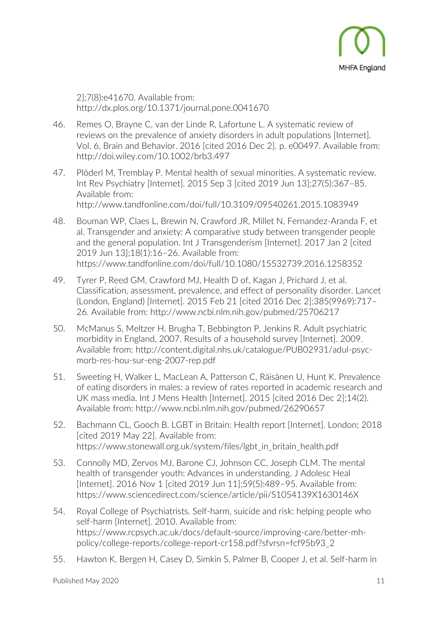

2];7(8):e41670. Available from: http://dx.plos.org/10.1371/journal.pone.0041670

- 46. Remes O, Brayne C, van der Linde R, Lafortune L. A systematic review of reviews on the prevalence of anxiety disorders in adult populations [Internet]. Vol. 6, Brain and Behavior. 2016 [cited 2016 Dec 2]. p. e00497. Available from: http://doi.wiley.com/10.1002/brb3.497
- 47. Plöderl M, Tremblay P. Mental health of sexual minorities. A systematic review. Int Rev Psychiatry [Internet]. 2015 Sep 3 [cited 2019 Jun 13];27(5):367–85. Available from:

http://www.tandfonline.com/doi/full/10.3109/09540261.2015.1083949

- 48. Bouman WP, Claes L, Brewin N, Crawford JR, Millet N, Fernandez-Aranda F, et al. Transgender and anxiety: A comparative study between transgender people and the general population. Int J Transgenderism [Internet]. 2017 Jan 2 [cited 2019 Jun 13];18(1):16–26. Available from: https://www.tandfonline.com/doi/full/10.1080/15532739.2016.1258352
- 49. Tyrer P, Reed GM, Crawford MJ, Health D of, Kagan J, Prichard J, et al. Classification, assessment, prevalence, and effect of personality disorder. Lancet (London, England) [Internet]. 2015 Feb 21 [cited 2016 Dec 2];385(9969):717– 26. Available from: http://www.ncbi.nlm.nih.gov/pubmed/25706217
- 50. McManus S, Meltzer H, Brugha T, Bebbington P, Jenkins R. Adult psychiatric morbidity in England, 2007. Results of a household survey [Internet]. 2009. Available from: http://content.digital.nhs.uk/catalogue/PUB02931/adul-psycmorb-res-hou-sur-eng-2007-rep.pdf
- 51. Sweeting H, Walker L, MacLean A, Patterson C, Räisänen U, Hunt K. Prevalence of eating disorders in males: a review of rates reported in academic research and UK mass media. Int J Mens Health [Internet]. 2015 [cited 2016 Dec 2];14(2). Available from: http://www.ncbi.nlm.nih.gov/pubmed/26290657
- 52. Bachmann CL, Gooch B. LGBT in Britain: Health report [Internet]. London; 2018 [cited 2019 May 22]. Available from: https://www.stonewall.org.uk/system/files/lgbt\_in\_britain\_health.pdf
- 53. Connolly MD, Zervos MJ, Barone CJ, Johnson CC, Joseph CLM. The mental health of transgender youth: Advances in understanding. J Adolesc Heal [Internet]. 2016 Nov 1 [cited 2019 Jun 11];59(5):489–95. Available from: https://www.sciencedirect.com/science/article/pii/S1054139X1630146X
- 54. Royal College of Psychiatrists. Self-harm, suicide and risk: helping people who self-harm [Internet]. 2010. Available from: https://www.rcpsych.ac.uk/docs/default-source/improving-care/better-mhpolicy/college-reports/college-report-cr158.pdf?sfvrsn=fcf95b93\_2
- 55. Hawton K, Bergen H, Casey D, Simkin S, Palmer B, Cooper J, et al. Self-harm in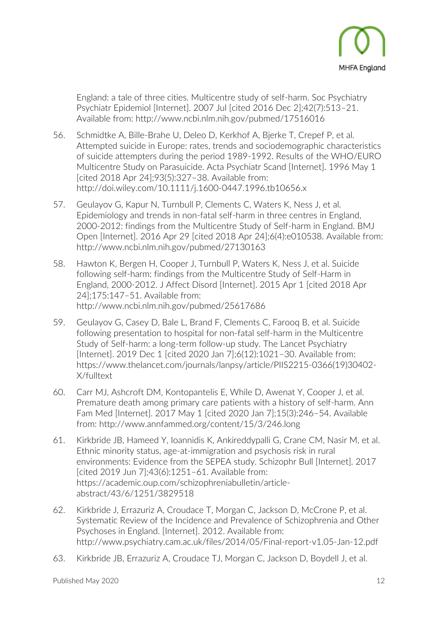

England: a tale of three cities. Multicentre study of self-harm. Soc Psychiatry Psychiatr Epidemiol [Internet]. 2007 Jul [cited 2016 Dec 2];42(7):513–21. Available from: http://www.ncbi.nlm.nih.gov/pubmed/17516016

- 56. Schmidtke A, Bille-Brahe U, Deleo D, Kerkhof A, Bjerke T, Crepef P, et al. Attempted suicide in Europe: rates, trends and sociodemographic characteristics of suicide attempters during the period 1989-1992. Results of the WHO/EURO Multicentre Study on Parasuicide. Acta Psychiatr Scand [Internet]. 1996 May 1 [cited 2018 Apr 24];93(5):327–38. Available from: http://doi.wiley.com/10.1111/j.1600-0447.1996.tb10656.x
- 57. Geulayov G, Kapur N, Turnbull P, Clements C, Waters K, Ness J, et al. Epidemiology and trends in non-fatal self-harm in three centres in England, 2000-2012: findings from the Multicentre Study of Self-harm in England. BMJ Open [Internet]. 2016 Apr 29 [cited 2018 Apr 24];6(4):e010538. Available from: http://www.ncbi.nlm.nih.gov/pubmed/27130163
- 58. Hawton K, Bergen H, Cooper J, Turnbull P, Waters K, Ness J, et al. Suicide following self-harm: findings from the Multicentre Study of Self-Harm in England, 2000-2012. J Affect Disord [Internet]. 2015 Apr 1 [cited 2018 Apr 24];175:147–51. Available from: http://www.ncbi.nlm.nih.gov/pubmed/25617686
- 59. Geulayov G, Casey D, Bale L, Brand F, Clements C, Farooq B, et al. Suicide following presentation to hospital for non-fatal self-harm in the Multicentre Study of Self-harm: a long-term follow-up study. The Lancet Psychiatry [Internet]. 2019 Dec 1 [cited 2020 Jan 7];6(12):1021–30. Available from: https://www.thelancet.com/journals/lanpsy/article/PIIS2215-0366(19)30402- X/fulltext
- 60. Carr MJ, Ashcroft DM, Kontopantelis E, While D, Awenat Y, Cooper J, et al. Premature death among primary care patients with a history of self-harm. Ann Fam Med [Internet]. 2017 May 1 [cited 2020 Jan 7];15(3):246–54. Available from: http://www.annfammed.org/content/15/3/246.long
- 61. Kirkbride JB, Hameed Y, Ioannidis K, Ankireddypalli G, Crane CM, Nasir M, et al. Ethnic minority status, age-at-immigration and psychosis risk in rural environments: Evidence from the SEPEA study. Schizophr Bull [Internet]. 2017 [cited 2019 Jun 7];43(6):1251–61. Available from: https://academic.oup.com/schizophreniabulletin/articleabstract/43/6/1251/3829518
- 62. Kirkbride J, Errazuriz A, Croudace T, Morgan C, Jackson D, McCrone P, et al. Systematic Review of the Incidence and Prevalence of Schizophrenia and Other Psychoses in England. [Internet]. 2012. Available from: http://www.psychiatry.cam.ac.uk/files/2014/05/Final-report-v1.05-Jan-12.pdf
- 63. Kirkbride JB, Errazuriz A, Croudace TJ, Morgan C, Jackson D, Boydell J, et al.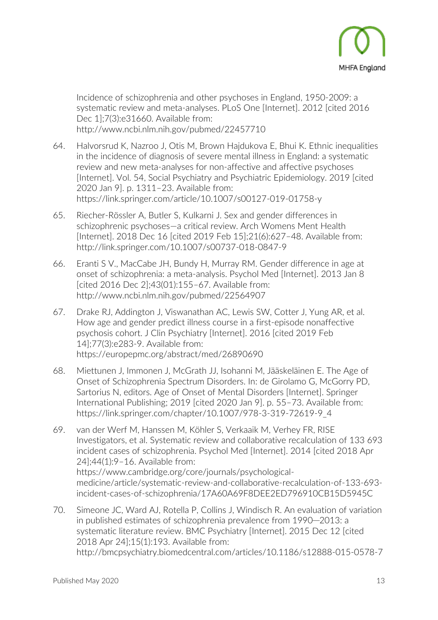

Incidence of schizophrenia and other psychoses in England, 1950-2009: a systematic review and meta-analyses. PLoS One [Internet]. 2012 [cited 2016 Dec 1];7(3):e31660. Available from: http://www.ncbi.nlm.nih.gov/pubmed/22457710

- 64. Halvorsrud K, Nazroo J, Otis M, Brown Hajdukova E, Bhui K. Ethnic inequalities in the incidence of diagnosis of severe mental illness in England: a systematic review and new meta-analyses for non-affective and affective psychoses [Internet]. Vol. 54, Social Psychiatry and Psychiatric Epidemiology. 2019 [cited 2020 Jan 9]. p. 1311–23. Available from: https://link.springer.com/article/10.1007/s00127-019-01758-y
- 65. Riecher-Rössler A, Butler S, Kulkarni J. Sex and gender differences in schizophrenic psychoses—a critical review. Arch Womens Ment Health [Internet]. 2018 Dec 16 [cited 2019 Feb 15];21(6):627–48. Available from: http://link.springer.com/10.1007/s00737-018-0847-9
- 66. Eranti S V., MacCabe JH, Bundy H, Murray RM. Gender difference in age at onset of schizophrenia: a meta-analysis. Psychol Med [Internet]. 2013 Jan 8 [cited 2016 Dec 2];43(01):155–67. Available from: http://www.ncbi.nlm.nih.gov/pubmed/22564907
- 67. Drake RJ, Addington J, Viswanathan AC, Lewis SW, Cotter J, Yung AR, et al. How age and gender predict illness course in a first-episode nonaffective psychosis cohort. J Clin Psychiatry [Internet]. 2016 [cited 2019 Feb 14];77(3):e283-9. Available from: https://europepmc.org/abstract/med/26890690
- 68. Miettunen J, Immonen J, McGrath JJ, Isohanni M, Jääskeläinen E. The Age of Onset of Schizophrenia Spectrum Disorders. In: de Girolamo G, McGorry PD, Sartorius N, editors. Age of Onset of Mental Disorders [Internet]. Springer International Publishing; 2019 [cited 2020 Jan 9]. p. 55–73. Available from: https://link.springer.com/chapter/10.1007/978-3-319-72619-9\_4
- 69. van der Werf M, Hanssen M, Köhler S, Verkaaik M, Verhey FR, RISE Investigators, et al. Systematic review and collaborative recalculation of 133 693 incident cases of schizophrenia. Psychol Med [Internet]. 2014 [cited 2018 Apr 24];44(1):9–16. Available from: https://www.cambridge.org/core/journals/psychologicalmedicine/article/systematic-review-and-collaborative-recalculation-of-133-693 incident-cases-of-schizophrenia/17A60A69F8DEE2ED796910CB15D5945C
- 70. Simeone JC, Ward AJ, Rotella P, Collins J, Windisch R. An evaluation of variation in published estimates of schizophrenia prevalence from 1990─2013: a systematic literature review. BMC Psychiatry [Internet]. 2015 Dec 12 [cited 2018 Apr 24];15(1):193. Available from: http://bmcpsychiatry.biomedcentral.com/articles/10.1186/s12888-015-0578-7